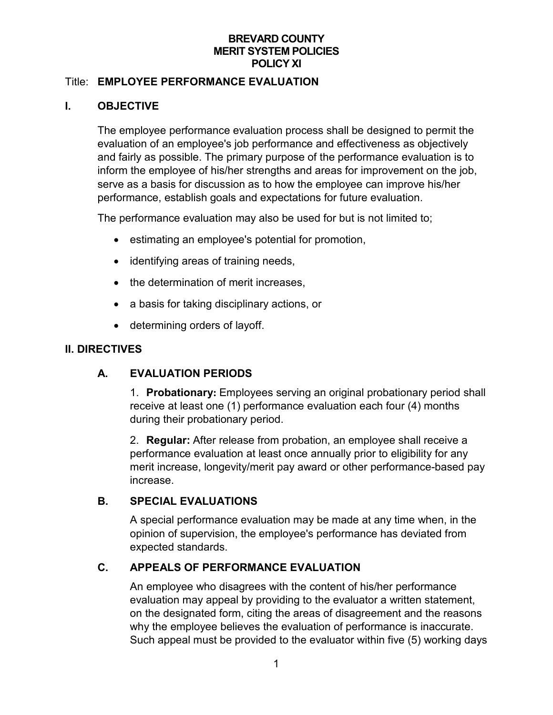# **BREVARD COUNTY MERIT SYSTEM POLICIES POLICY XI**

## Title: **EMPLOYEE PERFORMANCE EVALUATION**

## **I. OBJECTIVE**

The employee performance evaluation process shall be designed to permit the evaluation of an employee's job performance and effectiveness as objectively and fairly as possible. The primary purpose of the performance evaluation is to inform the employee of his/her strengths and areas for improvement on the job, serve as a basis for discussion as to how the employee can improve his/her performance, establish goals and expectations for future evaluation.

The performance evaluation may also be used for but is not limited to;

- estimating an employee's potential for promotion,
- identifying areas of training needs,
- the determination of merit increases,
- a basis for taking disciplinary actions, or
- determining orders of layoff.

#### **II. DIRECTIVES**

## **A. EVALUATION PERIODS**

1. **Probationary:** Employees serving an original probationary period shall receive at least one (1) performance evaluation each four (4) months during their probationary period.

2. **Regular:** After release from probation, an employee shall receive a performance evaluation at least once annually prior to eligibility for any merit increase, longevity/merit pay award or other performance-based pay increase.

#### **B. SPECIAL EVALUATIONS**

A special performance evaluation may be made at any time when, in the opinion of supervision, the employee's performance has deviated from expected standards.

## **C. APPEALS OF PERFORMANCE EVALUATION**

An employee who disagrees with the content of his/her performance evaluation may appeal by providing to the evaluator a written statement, on the designated form, citing the areas of disagreement and the reasons why the employee believes the evaluation of performance is inaccurate. Such appeal must be provided to the evaluator within five (5) working days